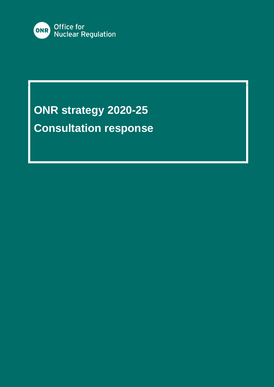

# **ONR strategy 2020-25 Consultation response**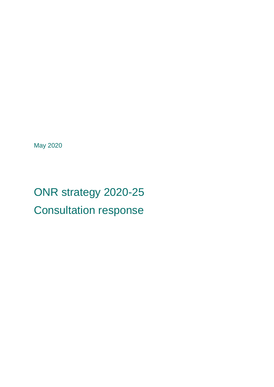May 2020

# ONR strategy 2020-25 Consultation response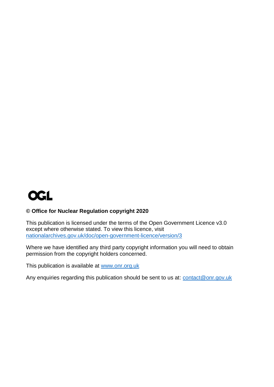

#### **© Office for Nuclear Regulation copyright 2020**

This publication is licensed under the terms of the Open Government Licence v3.0 except where otherwise stated. To view this licence, visit [nationalarchives.gov.uk/doc/open-government-licence/version/3](http://nationalarchives.gov.uk/doc/open-government-licence/version/3/)

Where we have identified any third party copyright information you will need to obtain permission from the copyright holders concerned.

This publication is available at [www.onr.org.uk](http://www.onr.org.uk/)

Any enquiries regarding this publication should be sent to us at: [contact@onr.gov.uk](mailto:contact@onr.gov.uk)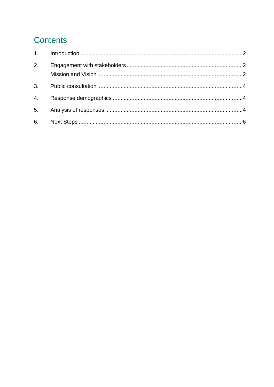# **Contents**

| 2. |  |
|----|--|
|    |  |
| 4. |  |
|    |  |
|    |  |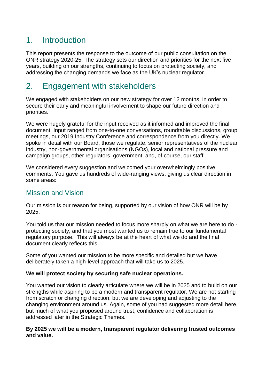## <span id="page-5-0"></span>1. Introduction

This report presents the response to the outcome of our public consultation on the ONR strategy 2020-25. The strategy sets our direction and priorities for the next five years, building on our strengths, continuing to focus on protecting society, and addressing the changing demands we face as the UK's nuclear regulator.

# <span id="page-5-1"></span>2. Engagement with stakeholders

We engaged with stakeholders on our new strategy for over 12 months, in order to secure their early and meaningful involvement to shape our future direction and priorities.

We were hugely grateful for the input received as it informed and improved the final document. Input ranged from one-to-one conversations, roundtable discussions, group meetings, our 2019 Industry Conference and correspondence from you directly. We spoke in detail with our Board, those we regulate, senior representatives of the nuclear industry, non-governmental organisations (NGOs), local and national pressure and campaign groups, other regulators, government, and, of course, our staff.

We considered every suggestion and welcomed your overwhelmingly positive comments. You gave us hundreds of wide-ranging views, giving us clear direction in some areas:

#### <span id="page-5-2"></span>Mission and Vision

Our mission is our reason for being, supported by our vision of how ONR will be by 2025.

You told us that our mission needed to focus more sharply on what we are here to do protecting society, and that you most wanted us to remain true to our fundamental regulatory purpose. This will always be at the heart of what we do and the final document clearly reflects this.

Some of you wanted our mission to be more specific and detailed but we have deliberately taken a high-level approach that will take us to 2025.

#### **We will protect society by securing safe nuclear operations.**

You wanted our vision to clearly articulate where we will be in 2025 and to build on our strengths while aspiring to be a modern and transparent regulator. We are not starting from scratch or changing direction, but we are developing and adjusting to the changing environment around us*.* Again, some of you had suggested more detail here, but much of what you proposed around trust, confidence and collaboration is addressed later in the Strategic Themes.

#### **By 2025 we will be a modern, transparent regulator delivering trusted outcomes and value.**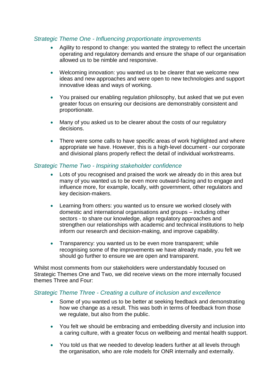#### *Strategic Theme One - Influencing proportionate improvements*

- Agility to respond to change: you wanted the strategy to reflect the uncertain operating and regulatory demands and ensure the shape of our organisation allowed us to be nimble and responsive.
- Welcoming innovation: you wanted us to be clearer that we welcome new ideas and new approaches and were open to new technologies and support innovative ideas and ways of working.
- You praised our enabling regulation philosophy, but asked that we put even greater focus on ensuring our decisions are demonstrably consistent and proportionate.
- Many of you asked us to be clearer about the costs of our regulatory decisions.
- There were some calls to have specific areas of work highlighted and where appropriate we have. However, this is a high-level document - our corporate and divisional plans properly reflect the detail of individual workstreams.

#### *Strategic Theme Two - Inspiring stakeholder confidence*

- Lots of you recognised and praised the work we already do in this area but many of you wanted us to be even more outward-facing and to engage and influence more, for example, locally, with government, other regulators and key decision-makers.
- Learning from others: you wanted us to ensure we worked closely with domestic and international organisations and groups – including other sectors - to share our knowledge, align regulatory approaches and strengthen our relationships with academic and technical institutions to help inform our research and decision-making, and improve capability.
- Transparency: you wanted us to be even more transparent; while recognising some of the improvements we have already made, you felt we should go further to ensure we are open and transparent.

Whilst most comments from our stakeholders were understandably focused on Strategic Themes One and Two, we did receive views on the more internally focused themes Three and Four:

#### *Strategic Theme Three - Creating a culture of inclusion and excellence*

- Some of you wanted us to be better at seeking feedback and demonstrating how we change as a result. This was both in terms of feedback from those we regulate, but also from the public.
- You felt we should be embracing and embedding diversity and inclusion into a caring culture, with a greater focus on wellbeing and mental health support.
- You told us that we needed to develop leaders further at all levels through the organisation, who are role models for ONR internally and externally.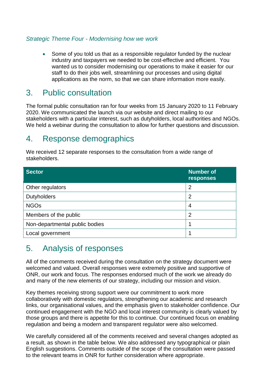#### *Strategic Theme Four - Modernising how we work*

• Some of you told us that as a responsible regulator funded by the nuclear industry and taxpayers we needed to be cost-effective and efficient. You wanted us to consider modernising our operations to make it easier for our staff to do their jobs well, streamlining our processes and using digital applications as the norm, so that we can share information more easily.

### <span id="page-7-0"></span>3. Public consultation

The formal public consultation ran for four weeks from 15 January 2020 to 11 February 2020. We communicated the launch via our website and direct mailing to our stakeholders with a particular interest, such as dutyholders, local authorities and NGOs. We held a webinar during the consultation to allow for further questions and discussion.

### <span id="page-7-1"></span>4. Response demographics

We received 12 separate responses to the consultation from a wide range of stakeholders.

| <b>Sector</b>                  | Number of<br>responses |
|--------------------------------|------------------------|
| Other regulators               | $\overline{2}$         |
| <b>Dutyholders</b>             | $\overline{2}$         |
| <b>NGOs</b>                    | 4                      |
| Members of the public          | $\overline{2}$         |
| Non-departmental public bodies |                        |
| Local government               |                        |

## <span id="page-7-2"></span>5. Analysis of responses

All of the comments received during the consultation on the strategy document were welcomed and valued. Overall responses were extremely positive and supportive of ONR, our work and focus. The responses endorsed much of the work we already do and many of the new elements of our strategy, including our mission and vision.

Key themes receiving strong support were our commitment to work more collaboratively with domestic regulators, strengthening our academic and research links, our organisational values, and the emphasis given to stakeholder confidence. Our continued engagement with the NGO and local interest community is clearly valued by those groups and there is appetite for this to continue. Our continued focus on enabling regulation and being a modern and transparent regulator were also welcomed.

We carefully considered all of the comments received and several changes adopted as a result, as shown in the table below. We also addressed any typographical or plain English suggestions. Comments outside of the scope of the consultation were passed to the relevant teams in ONR for further consideration where appropriate.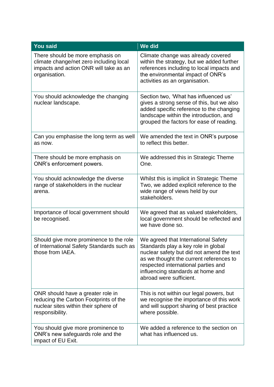| <b>You said</b>                                                                                                                        | We did                                                                                                                                                                                                                                                                    |
|----------------------------------------------------------------------------------------------------------------------------------------|---------------------------------------------------------------------------------------------------------------------------------------------------------------------------------------------------------------------------------------------------------------------------|
| There should be more emphasis on<br>climate change/net zero including local<br>impacts and action ONR will take as an<br>organisation. | Climate change was already covered<br>within the strategy, but we added further<br>references including to local impacts and<br>the environmental impact of ONR's<br>activities as an organisation.                                                                       |
| You should acknowledge the changing<br>nuclear landscape.                                                                              | Section two, 'What has influenced us'<br>gives a strong sense of this, but we also<br>added specific reference to the changing<br>landscape within the introduction, and<br>grouped the factors for ease of reading.                                                      |
| Can you emphasise the long term as well<br>as now.                                                                                     | We amended the text in ONR's purpose<br>to reflect this better.                                                                                                                                                                                                           |
| There should be more emphasis on<br>ONR's enforcement powers.                                                                          | We addressed this in Strategic Theme<br>One.                                                                                                                                                                                                                              |
| You should acknowledge the diverse<br>range of stakeholders in the nuclear<br>arena.                                                   | Whilst this is implicit in Strategic Theme<br>Two, we added explicit reference to the<br>wide range of views held by our<br>stakeholders.                                                                                                                                 |
| Importance of local government should<br>be recognised.                                                                                | We agreed that as valued stakeholders,<br>local government should be reflected and<br>we have done so.                                                                                                                                                                    |
| Should give more prominence to the role<br>of International Safety Standards such as<br>those from IAEA.                               | We agreed that International Safety<br>Standards play a key role in global<br>nuclear safety but did not amend the text<br>as we thought the current references to<br>respected international parties and<br>influencing standards at home and<br>abroad were sufficient. |
| ONR should have a greater role in<br>reducing the Carbon Footprints of the<br>nuclear sites within their sphere of<br>responsibility.  | This is not within our legal powers, but<br>we recognise the importance of this work<br>and will support sharing of best practice<br>where possible.                                                                                                                      |
| You should give more prominence to<br>ONR's new safeguards role and the<br>impact of EU Exit.                                          | We added a reference to the section on<br>what has influenced us.                                                                                                                                                                                                         |